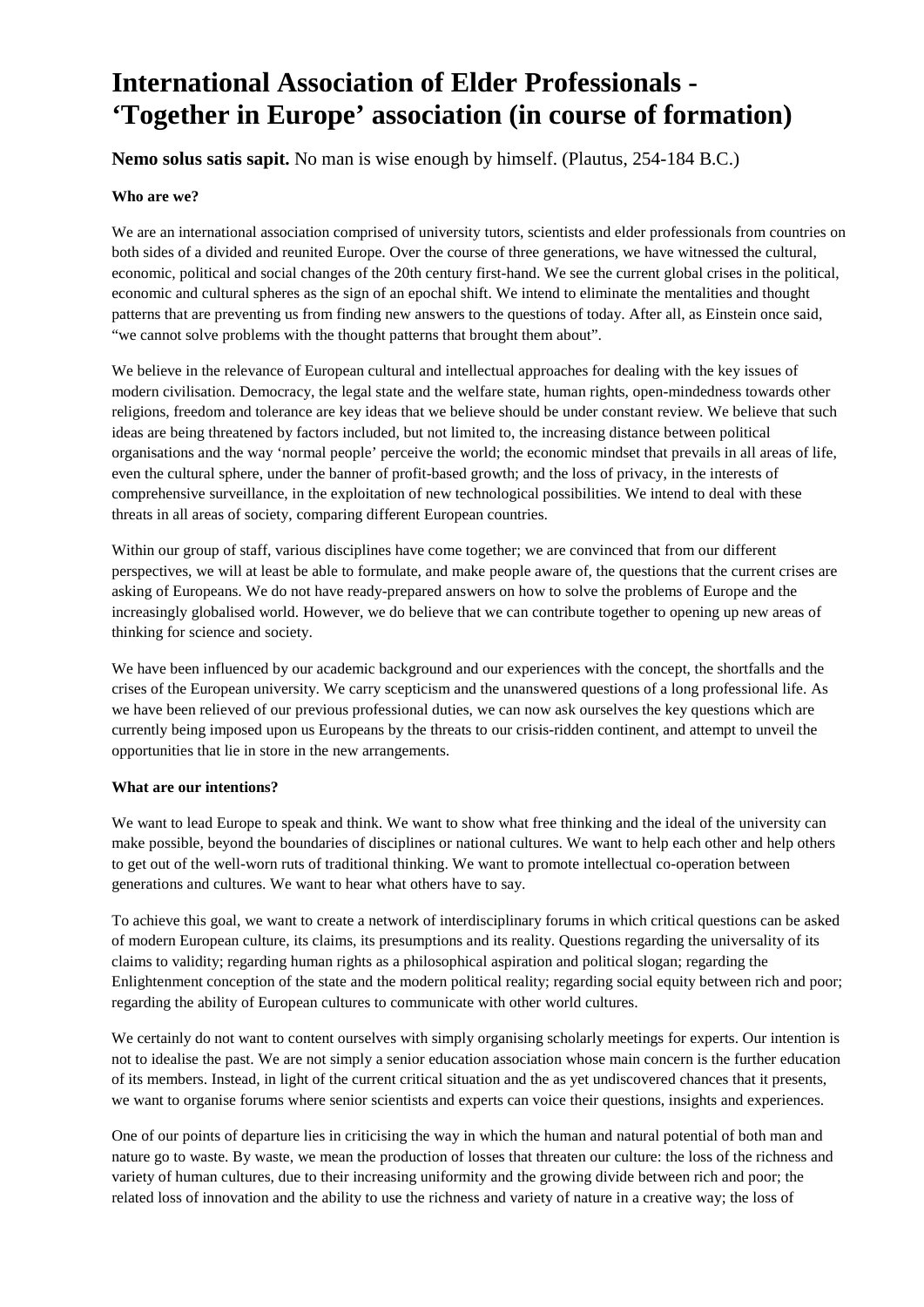# **International Association of Elder Professionals - 'Together in Europe' association (in course of formation)**

# **Nemo solus satis sapit.** No man is wise enough by himself. (Plautus, 254-184 B.C.)

## **Who are we?**

We are an international association comprised of university tutors, scientists and elder professionals from countries on both sides of a divided and reunited Europe. Over the course of three generations, we have witnessed the cultural, economic, political and social changes of the 20th century first-hand. We see the current global crises in the political, economic and cultural spheres as the sign of an epochal shift. We intend to eliminate the mentalities and thought patterns that are preventing us from finding new answers to the questions of today. After all, as Einstein once said, "we cannot solve problems with the thought patterns that brought them about".

We believe in the relevance of European cultural and intellectual approaches for dealing with the key issues of modern civilisation. Democracy, the legal state and the welfare state, human rights, open-mindedness towards other religions, freedom and tolerance are key ideas that we believe should be under constant review. We believe that such ideas are being threatened by factors included, but not limited to, the increasing distance between political organisations and the way 'normal people' perceive the world; the economic mindset that prevails in all areas of life, even the cultural sphere, under the banner of profit-based growth; and the loss of privacy, in the interests of comprehensive surveillance, in the exploitation of new technological possibilities. We intend to deal with these threats in all areas of society, comparing different European countries.

Within our group of staff, various disciplines have come together; we are convinced that from our different perspectives, we will at least be able to formulate, and make people aware of, the questions that the current crises are asking of Europeans. We do not have ready-prepared answers on how to solve the problems of Europe and the increasingly globalised world. However, we do believe that we can contribute together to opening up new areas of thinking for science and society.

We have been influenced by our academic background and our experiences with the concept, the shortfalls and the crises of the European university. We carry scepticism and the unanswered questions of a long professional life. As we have been relieved of our previous professional duties, we can now ask ourselves the key questions which are currently being imposed upon us Europeans by the threats to our crisis-ridden continent, and attempt to unveil the opportunities that lie in store in the new arrangements.

#### **What are our intentions?**

We want to lead Europe to speak and think. We want to show what free thinking and the ideal of the university can make possible, beyond the boundaries of disciplines or national cultures. We want to help each other and help others to get out of the well-worn ruts of traditional thinking. We want to promote intellectual co-operation between generations and cultures. We want to hear what others have to say.

To achieve this goal, we want to create a network of interdisciplinary forums in which critical questions can be asked of modern European culture, its claims, its presumptions and its reality. Questions regarding the universality of its claims to validity; regarding human rights as a philosophical aspiration and political slogan; regarding the Enlightenment conception of the state and the modern political reality; regarding social equity between rich and poor; regarding the ability of European cultures to communicate with other world cultures.

We certainly do not want to content ourselves with simply organising scholarly meetings for experts. Our intention is not to idealise the past. We are not simply a senior education association whose main concern is the further education of its members. Instead, in light of the current critical situation and the as yet undiscovered chances that it presents, we want to organise forums where senior scientists and experts can voice their questions, insights and experiences.

One of our points of departure lies in criticising the way in which the human and natural potential of both man and nature go to waste. By waste, we mean the production of losses that threaten our culture: the loss of the richness and variety of human cultures, due to their increasing uniformity and the growing divide between rich and poor; the related loss of innovation and the ability to use the richness and variety of nature in a creative way; the loss of